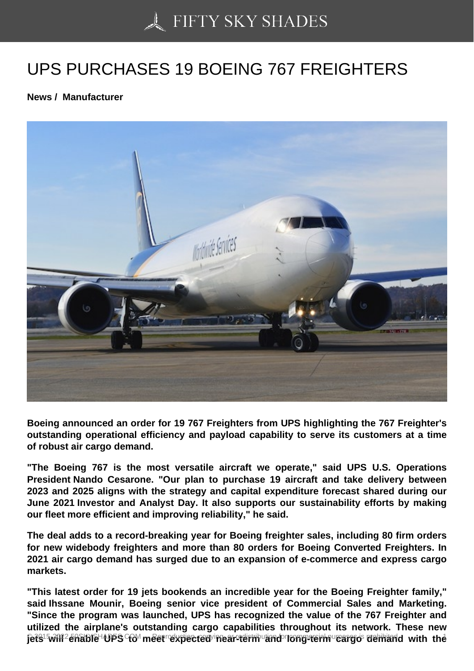## [UPS PURCHASES 19](https://50skyshades.com) BOEING 767 FREIGHTERS

News / Manufacturer

Boeing announced an order for 19 767 Freighters from UPS highlighting the 767 Freighter's outstanding operational efficiency and payload capability to serve its customers at a time of robust air cargo demand.

"The Boeing 767 is the most versatile aircraft we operate," said UPS U.S. Operations President Nando Cesarone. "Our plan to purchase 19 aircraft and take delivery between 2023 and 2025 aligns with the strategy and capital expenditure forecast shared during our June 2021 Investor and Analyst Day. It also supports our sustainability efforts by making our fleet more efficient and improving reliability," he said.

The deal adds to a record-breaking year for Boeing freighter sales, including 80 firm orders for new widebody freighters and more than 80 orders for Boeing Converted Freighters. In 2021 air cargo demand has surged due to an expansion of e-commerce and express cargo markets.

"This latest order for 19 jets bookends an incredible year for the Boeing Freighter family," said Ihssane Mounir, Boeing senior vice president of Commercial Sales and Marketing. "Since the program was launched, UPS has recognized the value of the 767 Freighter and utilized the airplane's outstanding cargo capabilities throughout its network. These new pers will enable ups to meet expected onear-term stind or reproduction and with the <sup>1</sup>